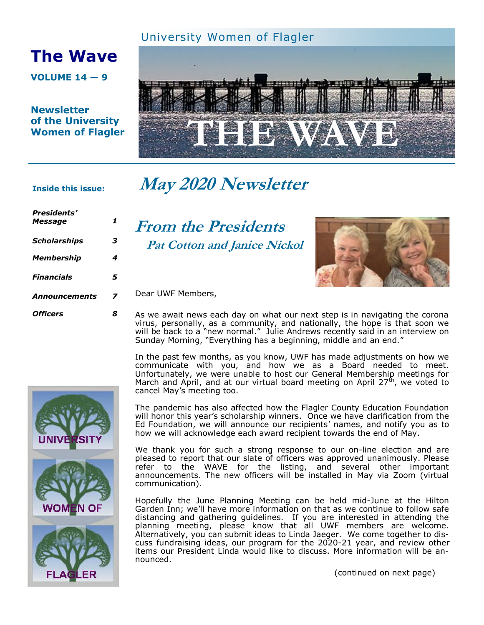### University Women of Flagler

# **The Wave**

**VOLUME 14 — 9**

**Newsletter of the University Women of Flagler**



# **May 2020 Newsletter**

#### **Inside this issue:**

*Presidents' Message 1 Scholarships 3 Membership 4 Financials 5 Announcements 7 Officers 8*

**From the Presidents Pat Cotton and Janice Nickol**



#### Dear UWF Members,

As we await news each day on what our next step is in navigating the corona virus, personally, as a community, and nationally, the hope is that soon we will be back to a "new normal." Julie Andrews recently said in an interview on Sunday Morning, "Everything has a beginning, middle and an end."

In the past few months, as you know, UWF has made adjustments on how we communicate with you, and how we as a Board needed to meet. Unfortunately, we were unable to host our General Membership meetings for March and April, and at our virtual board meeting on April 27<sup>th</sup>, we voted to cancel May's meeting too.

The pandemic has also affected how the Flagler County Education Foundation will honor this year's scholarship winners. Once we have clarification from the Ed Foundation, we will announce our recipients' names, and notify you as to how we will acknowledge each award recipient towards the end of May.

We thank you for such a strong response to our on-line election and are pleased to report that our slate of officers was approved unanimously. Please refer to the WAVE for the listing, and several other important announcements. The new officers will be installed in May via Zoom (virtual communication).

Hopefully the June Planning Meeting can be held mid-June at the Hilton Garden Inn; we'll have more information on that as we continue to follow safe distancing and gathering guidelines. If you are interested in attending the planning meeting, please know that all UWF members are welcome. Alternatively, you can submit ideas to Linda Jaeger. We come together to discuss fundraising ideas, our program for the 2020-21 year, and review other items our President Linda would like to discuss. More information will be announced.

IN OF

ER

(continued on next page)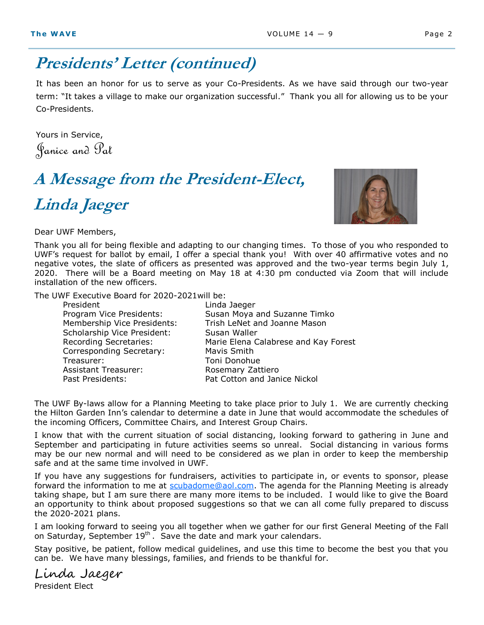## **Presidents' Letter (continued)**

It has been an honor for us to serve as your Co-Presidents. As we have said through our two-year term: "It takes a village to make our organization successful." Thank you all for allowing us to be your Co-Presidents.

Yours in Service, Janice and Pat

# **A Message from the President-Elect, Linda Jaeger**

Dear UWF Members,

Thank you all for being flexible and adapting to our changing times. To those of you who responded to UWF's request for ballot by email, I offer a special thank you! With over 40 affirmative votes and no negative votes, the slate of officers as presented was approved and the two-year terms begin July 1, 2020. There will be a Board meeting on May 18 at 4:30 pm conducted via Zoom that will include installation of the new officers.

The UWF Executive Board for 2020-2021will be:

| President                     | Linda Jaeger                         |
|-------------------------------|--------------------------------------|
| Program Vice Presidents:      | Susan Moya and Suzanne Timko         |
| Membership Vice Presidents:   | Trish LeNet and Joanne Mason         |
| Scholarship Vice President:   | Susan Waller                         |
| <b>Recording Secretaries:</b> | Marie Elena Calabrese and Kay Forest |
| Corresponding Secretary:      | Mavis Smith                          |
| Treasurer:                    | Toni Donohue                         |
| <b>Assistant Treasurer:</b>   | Rosemary Zattiero                    |
| Past Presidents:              | Pat Cotton and Janice Nickol         |
|                               |                                      |

The UWF By-laws allow for a Planning Meeting to take place prior to July 1. We are currently checking the Hilton Garden Inn's calendar to determine a date in June that would accommodate the schedules of the incoming Officers, Committee Chairs, and Interest Group Chairs.

I know that with the current situation of social distancing, looking forward to gathering in June and September and participating in future activities seems so unreal. Social distancing in various forms may be our new normal and will need to be considered as we plan in order to keep the membership safe and at the same time involved in UWF.

If you have any suggestions for fundraisers, activities to participate in, or events to sponsor, please forward the information to me at [scubadome@aol.com.](mailto:scubadome@aol.com) The agenda for the Planning Meeting is already taking shape, but I am sure there are many more items to be included. I would like to give the Board an opportunity to think about proposed suggestions so that we can all come fully prepared to discuss the 2020-2021 plans.

I am looking forward to seeing you all together when we gather for our first General Meeting of the Fall on Saturday, September  $19<sup>th</sup>$ . Save the date and mark your calendars.

Stay positive, be patient, follow medical guidelines, and use this time to become the best you that you can be. We have many blessings, families, and friends to be thankful for.

Linda Jaeger President Elect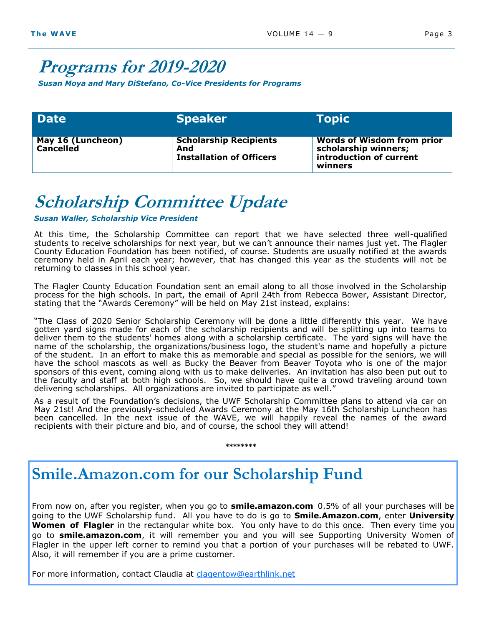## **Programs for 2019-2020**

*Susan Moya and Mary DiStefano, Co-Vice Presidents for Programs*

| <b>Date</b>                    | <b>Speaker</b>                                                          | <b>Topic</b>                                                                                    |
|--------------------------------|-------------------------------------------------------------------------|-------------------------------------------------------------------------------------------------|
| May 16 (Luncheon)<br>Cancelled | <b>Scholarship Recipients</b><br>And<br><b>Installation of Officers</b> | <b>Words of Wisdom from prior</b><br>scholarship winners;<br>introduction of current<br>winners |

# **Scholarship Committee Update**

*Susan Waller, Scholarship Vice President* 

At this time, the Scholarship Committee can report that we have selected three well-qualified students to receive scholarships for next year, but we can't announce their names just yet. The Flagler County Education Foundation has been notified, of course. Students are usually notified at the awards ceremony held in April each year; however, that has changed this year as the students will not be returning to classes in this school year.

The Flagler County Education Foundation sent an email along to all those involved in the Scholarship process for the high schools. In part, the email of April 24th from Rebecca Bower, Assistant Director, stating that the "Awards Ceremony" will be held on May 21st instead, explains:

"The Class of 2020 Senior Scholarship Ceremony will be done a little differently this year. We have gotten yard signs made for each of the scholarship recipients and will be splitting up into teams to deliver them to the students' homes along with a scholarship certificate. The yard signs will have the name of the scholarship, the organizations/business logo, the student's name and hopefully a picture of the student. In an effort to make this as memorable and special as possible for the seniors, we will have the school mascots as well as Bucky the Beaver from Beaver Toyota who is one of the major sponsors of this event, coming along with us to make deliveries. An invitation has also been put out to the faculty and staff at both high schools. So, we should have quite a crowd traveling around town delivering scholarships. All organizations are invited to participate as well."

As a result of the Foundation's decisions, the UWF Scholarship Committee plans to attend via car on May 21st! And the previously-scheduled Awards Ceremony at the May 16th Scholarship Luncheon has been cancelled. In the next issue of the WAVE, we will happily reveal the names of the award recipients with their picture and bio, and of course, the school they will attend!

**\*\*\*\*\*\*\*\***

## **Smile.Amazon.com for our Scholarship Fund**

From now on, after you register, when you go to **smile.amazon.com** 0.5% of all your purchases will be going to the UWF Scholarship fund. All you have to do is go to **Smile.Amazon.com**, enter **University Women of Flagler** in the rectangular white box. You only have to do this once. Then every time you go to **smile.amazon.com**, it will remember you and you will see Supporting University Women of Flagler in the upper left corner to remind you that a portion of your purchases will be rebated to UWF. Also, it will remember if you are a prime customer.

For more information, contact Claudia at [clagentow@earthlink.net](mailto:clagentow@earthlink.net)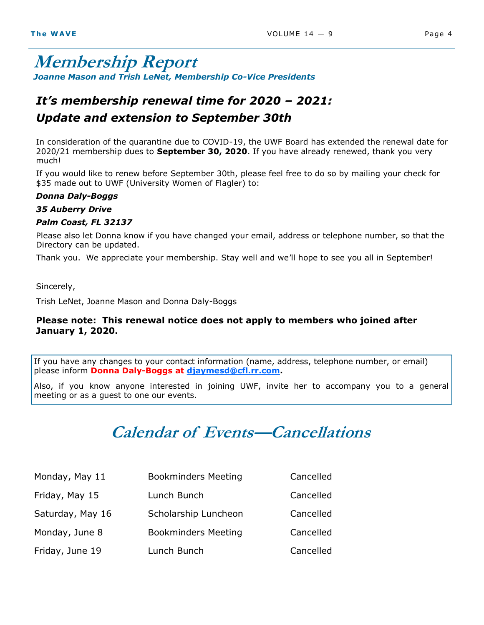## **Membership Report** *Joanne Mason and Trish LeNet, Membership Co-Vice Presidents*

## *It's membership renewal time for 2020 – 2021: Update and extension to September 30th*

In consideration of the quarantine due to COVID-19, the UWF Board has extended the renewal date for 2020/21 membership dues to **September 30, 2020**. If you have already renewed, thank you very much!

If you would like to renew before September 30th, please feel free to do so by mailing your check for \$35 made out to UWF (University Women of Flagler) to:

#### *Donna Daly-Boggs*

#### *35 Auberry Drive*

#### *Palm Coast, FL 32137*

Please also let Donna know if you have changed your email, address or telephone number, so that the Directory can be updated.

Thank you. We appreciate your membership. Stay well and we'll hope to see you all in September!

Sincerely,

Trish LeNet, Joanne Mason and Donna Daly-Boggs

#### **Please note: This renewal notice does not apply to members who joined after January 1, 2020.**

If you have any changes to your contact information (name, address, telephone number, or email) please inform **Donna Daly-Boggs at [djaymesd@cfl.rr.com.](mailto:djaymesd@cfl.rr.com)** 

Also, if you know anyone interested in joining UWF, invite her to accompany you to a general meeting or as a guest to one our events.

## **Calendar of Events—Cancellations**

| Monday, May 11   | <b>Bookminders Meeting</b> | Cancelled |
|------------------|----------------------------|-----------|
| Friday, May 15   | Lunch Bunch                | Cancelled |
| Saturday, May 16 | Scholarship Luncheon       | Cancelled |
| Monday, June 8   | <b>Bookminders Meeting</b> | Cancelled |
| Friday, June 19  | Lunch Bunch                | Cancelled |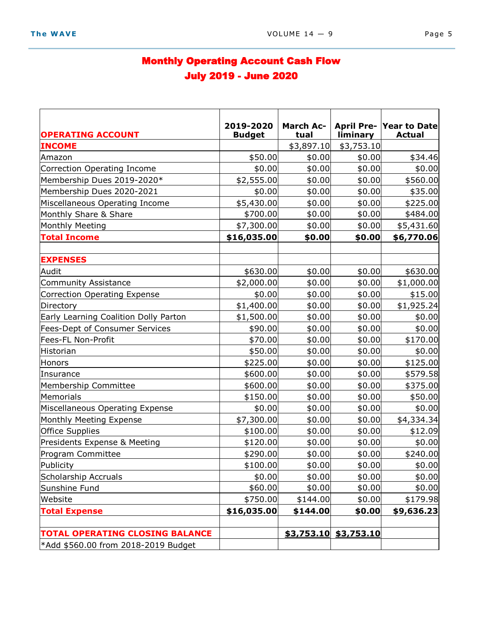## Monthly Operating Account Cash Flow July 2019 - June 2020

| <b>OPERATING ACCOUNT</b>               | 2019-2020<br><b>Budget</b> | <b>March Ac-</b><br>tual | liminary              | April Pre-Year to Date<br><b>Actual</b> |
|----------------------------------------|----------------------------|--------------------------|-----------------------|-----------------------------------------|
| <b>INCOME</b>                          |                            | \$3,897.10               | \$3,753.10            |                                         |
| Amazon                                 | \$50.00                    | \$0.00                   | \$0.00                | \$34.46                                 |
| Correction Operating Income            | \$0.00                     | \$0.00                   | \$0.00                | \$0.00                                  |
| Membership Dues 2019-2020*             | \$2,555.00                 | \$0.00                   | \$0.00                | \$560.00                                |
| Membership Dues 2020-2021              | \$0.00                     | \$0.00                   | \$0.00                | \$35.00                                 |
| Miscellaneous Operating Income         | \$5,430.00                 | \$0.00                   | \$0.00                | \$225.00                                |
| Monthly Share & Share                  | \$700.00                   | \$0.00                   | \$0.00                | \$484.00                                |
| Monthly Meeting                        | \$7,300.00                 | \$0.00                   | \$0.00                | \$5,431.60                              |
| <b>Total Income</b>                    | \$16,035.00                | \$0.00                   | \$0.00                | \$6,770.06                              |
|                                        |                            |                          |                       |                                         |
| <b>EXPENSES</b>                        |                            |                          |                       |                                         |
| Audit                                  | \$630.00                   | \$0.00                   | \$0.00                | \$630.00                                |
| <b>Community Assistance</b>            | \$2,000.00                 | \$0.00                   | \$0.00                | \$1,000.00]                             |
| <b>Correction Operating Expense</b>    | \$0.00                     | \$0.00                   | \$0.00                | \$15.00                                 |
| Directory                              | \$1,400.00                 | \$0.00                   | \$0.00                | \$1,925.24                              |
| Early Learning Coalition Dolly Parton  | \$1,500.00                 | \$0.00                   | \$0.00                | \$0.00                                  |
| <b>Fees-Dept of Consumer Services</b>  | \$90.00                    | \$0.00                   | \$0.00                | \$0.00                                  |
| Fees-FL Non-Profit                     | \$70.00                    | \$0.00                   | \$0.00                | \$170.00                                |
| Historian                              | \$50.00                    | \$0.00                   | \$0.00                | \$0.00                                  |
| Honors                                 | \$225.00                   | \$0.00                   | \$0.00                | \$125.00                                |
| Insurance                              | \$600.00                   | \$0.00                   | \$0.00                | \$579.58                                |
| Membership Committee                   | \$600.00                   | \$0.00                   | \$0.00                | \$375.00                                |
| Memorials                              | \$150.00                   | \$0.00                   | \$0.00                | \$50.00                                 |
| Miscellaneous Operating Expense        | \$0.00                     | \$0.00                   | \$0.00                | \$0.00                                  |
| Monthly Meeting Expense                | \$7,300.00                 | \$0.00                   | \$0.00                | \$4,334.34                              |
| <b>Office Supplies</b>                 | \$100.00                   | \$0.00                   | \$0.00                | \$12.09                                 |
| Presidents Expense & Meeting           | \$120.00                   | \$0.00                   | \$0.00                | \$0.00                                  |
| Program Committee                      | \$290.00                   | \$0.00                   | \$0.00                | \$240.00                                |
| Publicity                              | \$100.00                   | \$0.00                   | \$0.00                | \$0.00                                  |
| Scholarship Accruals                   | \$0.00                     | \$0.00                   | \$0.00                | \$0.00                                  |
| Sunshine Fund                          | \$60.00                    | \$0.00                   | \$0.00                | \$0.00                                  |
| Website                                | \$750.00                   | \$144.00                 | \$0.00                | \$179.98                                |
| <b>Total Expense</b>                   | \$16,035.00                | \$144.00                 | \$0.00                | \$9,636.23                              |
|                                        |                            |                          |                       |                                         |
| <b>TOTAL OPERATING CLOSING BALANCE</b> |                            |                          | \$3,753.10 \$3,753.10 |                                         |
| *Add \$560.00 from 2018-2019 Budget    |                            |                          |                       |                                         |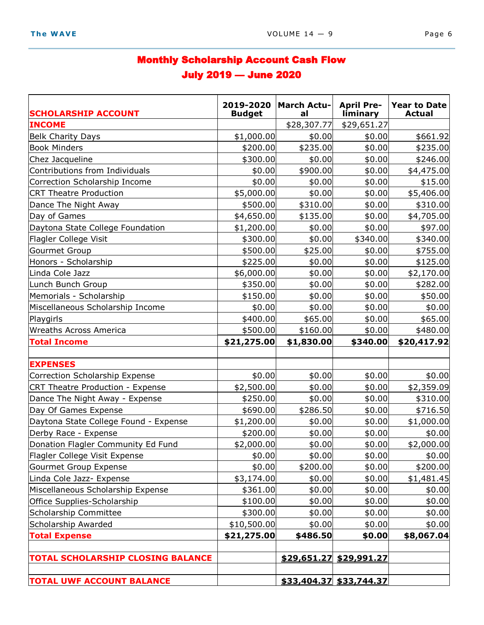## Monthly Scholarship Account Cash Flow July 2019 — June 2020

| <b>SCHOLARSHIP ACCOUNT</b>               | 2019-2020<br><b>Budget</b> | <b>March Actu-</b><br>al | <b>April Pre-</b><br>liminary | <b>Year to Date</b><br><b>Actual</b> |
|------------------------------------------|----------------------------|--------------------------|-------------------------------|--------------------------------------|
| <b>INCOME</b>                            |                            | \$28,307.77              | \$29,651.27                   |                                      |
| <b>Belk Charity Days</b>                 | \$1,000.00]                | \$0.00                   | \$0.00                        | \$661.92                             |
| <b>Book Minders</b>                      | \$200.00                   | \$235.00                 | \$0.00                        | \$235.00                             |
| Chez Jacqueline                          | \$300.00                   | \$0.00                   | \$0.00                        | \$246.00                             |
| Contributions from Individuals           | \$0.00                     | \$900.00                 | \$0.00                        | \$4,475.00                           |
| Correction Scholarship Income            | \$0.00                     | \$0.00                   | \$0.00                        | \$15.00                              |
| <b>CRT Theatre Production</b>            | \$5,000.00                 | \$0.00                   | \$0.00                        | \$5,406.00                           |
| Dance The Night Away                     | \$500.00                   | \$310.00                 | \$0.00                        | \$310.00                             |
| Day of Games                             | \$4,650.00                 | \$135.00                 | \$0.00                        | \$4,705.00                           |
| Daytona State College Foundation         | \$1,200.00                 | \$0.00                   | \$0.00                        | \$97.00                              |
| Flagler College Visit                    | \$300.00                   | \$0.00                   | \$340.00                      | \$340.00                             |
| Gourmet Group                            | \$500.00                   | \$25.00                  | \$0.00                        | \$755.00                             |
| Honors - Scholarship                     | \$225.00                   | \$0.00                   | \$0.00                        | \$125.00                             |
| Linda Cole Jazz                          | \$6,000.00                 | \$0.00                   | \$0.00                        | \$2,170.00                           |
| Lunch Bunch Group                        | \$350.00                   | \$0.00                   | \$0.00                        | \$282.00                             |
| Memorials - Scholarship                  | \$150.00                   | \$0.00                   | \$0.00                        | \$50.00                              |
| Miscellaneous Scholarship Income         | \$0.00                     | \$0.00                   | \$0.00                        | \$0.00                               |
| Playgirls                                | \$400.00                   | \$65.00                  | \$0.00                        | \$65.00                              |
| <b>Wreaths Across America</b>            | \$500.00                   | \$160.00                 | \$0.00                        | \$480.00                             |
| <b>Total Income</b>                      | \$21,275.00                | \$1,830.00               | \$340.00                      | \$20,417.92                          |
|                                          |                            |                          |                               |                                      |
| <b>EXPENSES</b>                          |                            |                          |                               |                                      |
| Correction Scholarship Expense           | \$0.00                     | \$0.00                   | \$0.00                        | \$0.00                               |
| CRT Theatre Production - Expense         | \$2,500.00                 | \$0.00                   | \$0.00                        | \$2,359.09                           |
| Dance The Night Away - Expense           | \$250.00                   | \$0.00                   | \$0.00                        | \$310.00                             |
| Day Of Games Expense                     | \$690.00                   | \$286.50                 | \$0.00                        | \$716.50                             |
| Daytona State College Found - Expense    | \$1,200.00                 | \$0.00                   | \$0.00                        | \$1,000.00                           |
| Derby Race - Expense                     | \$200.00                   | \$0.00                   | \$0.00                        | \$0.00                               |
| Donation Flagler Community Ed Fund       | \$2,000.00                 | \$0.00                   | \$0.00                        | \$2,000.00                           |
| Flagler College Visit Expense            | \$0.00                     | \$0.00                   | \$0.00                        | \$0.00                               |
| Gourmet Group Expense                    | \$0.00                     | \$200.00                 | \$0.00                        | \$200.00                             |
| Linda Cole Jazz- Expense                 | \$3,174.00                 | \$0.00                   | \$0.00                        | \$1,481.45                           |
| Miscellaneous Scholarship Expense        | \$361.00                   | \$0.00                   | \$0.00                        | \$0.00                               |
| Office Supplies-Scholarship              | \$100.00]                  | \$0.00                   | \$0.00                        | \$0.00                               |
| Scholarship Committee                    | \$300.00                   | \$0.00                   | \$0.00                        | \$0.00                               |
| Scholarship Awarded                      | \$10,500.00                | \$0.00                   | \$0.00                        | \$0.00                               |
| <b>Total Expense</b>                     | \$21,275.00                | \$486.50                 | \$0.00                        | \$8,067.04                           |
|                                          |                            |                          |                               |                                      |
| <b>TOTAL SCHOLARSHIP CLOSING BALANCE</b> |                            |                          | \$29,651.27 \$29,991.27       |                                      |
| <b>TOTAL UWF ACCOUNT BALANCE</b>         |                            |                          | \$33,404.37 \$33,744.37       |                                      |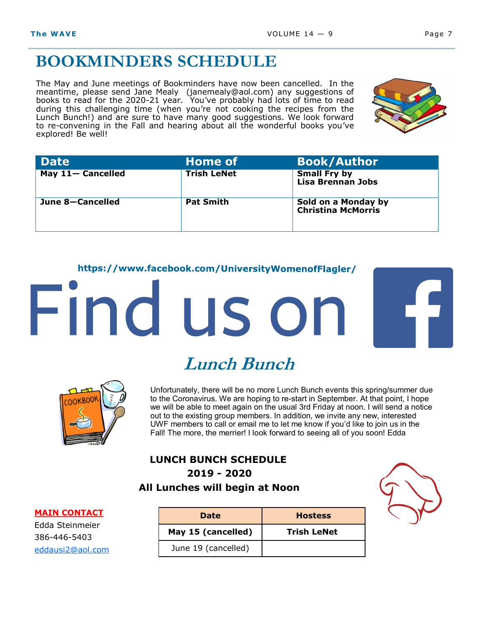## **BOOKMINDERS SCHEDULE**

The May and June meetings of Bookminders have now been cancelled. In the meantime, please send Jane Mealy (janemealy@aol.com) any suggestions of books to read for the 2020-21 year. You've probably had lots of time to read during this challenging time (when you're not cooking the recipes from the Lunch Bunch!) and are sure to have many good suggestions. We look forward to re-convening in the Fall and hearing about all the wonderful books you've explored! Be well!



| <b>Date</b>       | <b>Home of</b>     | <b>Book/Author</b>                               |
|-------------------|--------------------|--------------------------------------------------|
| May 11- Cancelled | <b>Trish LeNet</b> | <b>Small Fry by</b><br><b>Lisa Brennan Jobs</b>  |
| June 8-Cancelled  | <b>Pat Smith</b>   | Sold on a Monday by<br><b>Christina McMorris</b> |

#### https://www.facebook.com/UniversityWomenofFlagler/

# Find us on



# **Lunch Bunch**

Unfortunately, there will be no more Lunch Bunch events this spring/summer due to the Coronavirus. We are hoping to re-start in September. At that point, I hope we will be able to meet again on the usual 3rd Friday at noon. I will send a notice out to the existing group members. In addition, we invite any new, interested UWF members to call or email me to let me know if you'd like to join us in the Fall! The more, the merrier! I look forward to seeing all of you soon! Edda

#### **LUNCH BUNCH SCHEDULE 2019 - 2020 All Lunches will begin at Noon**



Edda Steinmeier 386-446-5403 [eddausi2@aol.com](mailto:eddausi2@aol.com)

| <b>Date</b>         | <b>Hostess</b>     |
|---------------------|--------------------|
| May 15 (cancelled)  | <b>Trish LeNet</b> |
| June 19 (cancelled) |                    |